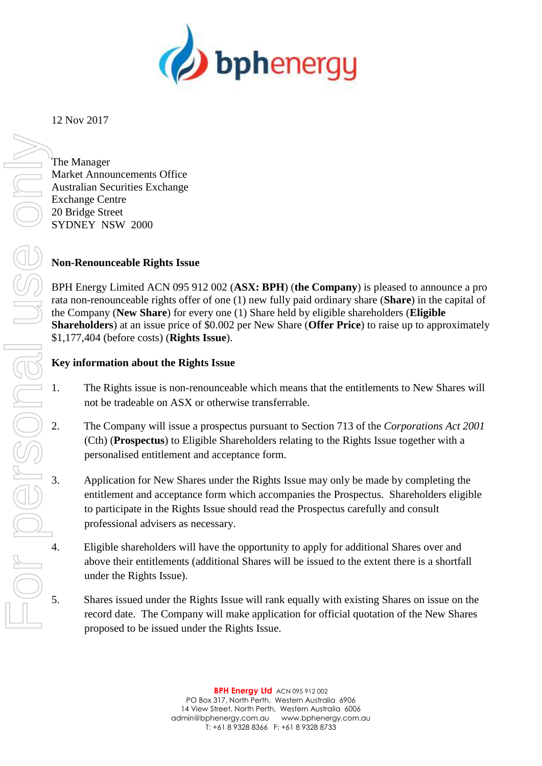

12 Nov 2017

The Manager Market Announcements Office Australian Securities Exchange Exchange Centre 20 Bridge Street SYDNEY NSW 2000

# **Non-Renounceable Rights Issue**

BPH Energy Limited ACN 095 912 002 (**ASX: BPH**) (**the Company**) is pleased to announce a pro rata non-renounceable rights offer of one (1) new fully paid ordinary share (**Share**) in the capital of the Company (**New Share**) for every one (1) Share held by eligible shareholders (**Eligible Shareholders**) at an issue price of \$0.002 per New Share (**Offer Price**) to raise up to approximately \$1,177,404 (before costs) (**Rights Issue**).

## **Key information about the Rights Issue**

- not be tradeable on ASX or otherwise transferrable.
- 2. The Company will issue a prospectus pursuant to Section 713 of the *Corporations Act 2001* (Cth) (**Prospectus**) to Eligible Shareholders relating to the Rights Issue together with a personalised entitlement and acceptance form.
- 1. The Rights issue is non-renounceable which means that the entitlements to New Shares will<br>
1. The Company will issue a prospectus pursuant to Section 713 of the Corporations Act 2001<br>
(Cth) (Prospectus) to Eligible Shar 3. Application for New Shares under the Rights Issue may only be made by completing the entitlement and acceptance form which accompanies the Prospectus. Shareholders eligible to participate in the Rights Issue should read the Prospectus carefully and consult professional advisers as necessary.
	- Eligible shareholders will have the opportunity to apply for additional Shares over and above their entitlements (additional Shares will be issued to the extent there is a shortfall under the Rights Issue).
	- 5. Shares issued under the Rights Issue will rank equally with existing Shares on issue on the record date. The Company will make application for official quotation of the New Shares proposed to be issued under the Rights Issue.